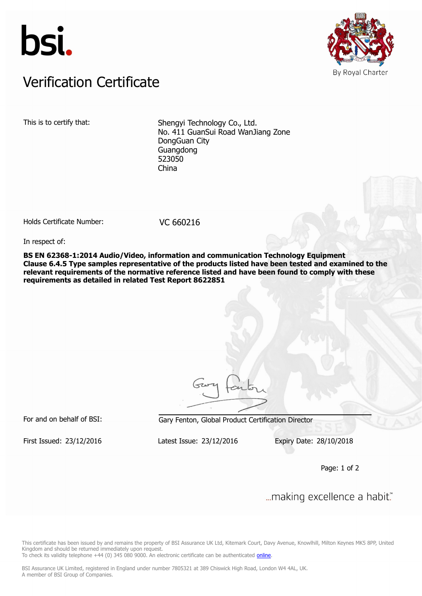



## Verification Certificate Verification Certificate

This is to certify that: Shengyi Technology Co., Ltd. No. 411 GuanSui Road WanJiang Zone DongGuan City Guangdong 523050 China

Holds Certificate Number: VC 660216

In respect of:

**BS EN 62368-1:2014 Audio/Video, information and communication Technology Equipment Clause 6.4.5 Type samples representative of the products listed have been tested and examined to the relevant requirements of the normative reference listed and have been found to comply with these requirements as detailed in related Test Report 8622851**

For and on behalf of BSI: Gary Fenton, Global Product Certification Director

First Issued: 23/12/2016 Latest Issue: 23/12/2016 Expiry Date: 28/10/2018

Page: 1 of 2

... making excellence a habit."

This certificate has been issued by and remains the property of BSI Assurance UK Ltd, Kitemark Court, Davy Avenue, Knowlhill, Milton Keynes MK5 8PP, United Kingdom and should be returned immediately upon request.

To check its validity telephone +44 (0) 345 080 9000. An electronic certificate can be authenticated *[online](https://pgplus.bsigroup.com/CertificateValidation/CertificateValidator.aspx?CertificateNumber=VC+660216&ReIssueDate=23%2f12%2f2016&Template=uk)*.

BSI Assurance UK Limited, registered in England under number 7805321 at 389 Chiswick High Road, London W4 4AL, UK. A member of BSI Group of Companies.